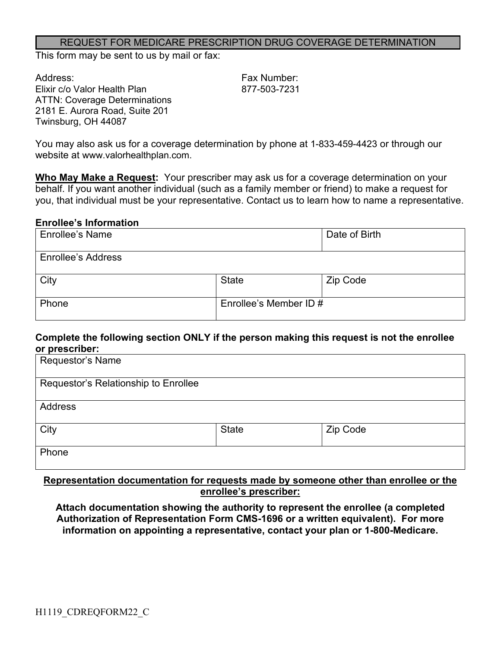#### REQUEST FOR MEDICARE PRESCRIPTION DRUG COVERAGE DETERMINATION

This form may be sent to us by mail or fax:

Address: Fax Number: Elixir c/o Valor Health Plan 877-503-7231 ATTN: Coverage Determinations 2181 E. Aurora Road, Suite 201 Twinsburg, OH 44087

You may also ask us for a coverage determination by phone at 1-833-459-4423 or through our website at www.valorhealthplan.com.

**Who May Make a Request:** Your prescriber may ask us for a coverage determination on your behalf. If you want another individual (such as a family member or friend) to make a request for you, that individual must be your representative. Contact us to learn how to name a representative.

#### **Enrollee's Information**

| <b>Enrollee's Name</b>    |                        | Date of Birth |
|---------------------------|------------------------|---------------|
| <b>Enrollee's Address</b> |                        |               |
| City                      | <b>State</b>           | Zip Code      |
| Phone                     | Enrollee's Member ID # |               |

#### **Complete the following section ONLY if the person making this request is not the enrollee or prescriber:**

| Requestor's Name                     |              |          |
|--------------------------------------|--------------|----------|
| Requestor's Relationship to Enrollee |              |          |
| <b>Address</b>                       |              |          |
| City                                 | <b>State</b> | Zip Code |
| Phone                                |              |          |

### **Representation documentation for requests made by someone other than enrollee or the enrollee's prescriber:**

**Attach documentation showing the authority to represent the enrollee (a completed Authorization of Representation Form CMS-1696 or a written equivalent). For more information on appointing a representative, contact your plan or 1-800-Medicare.**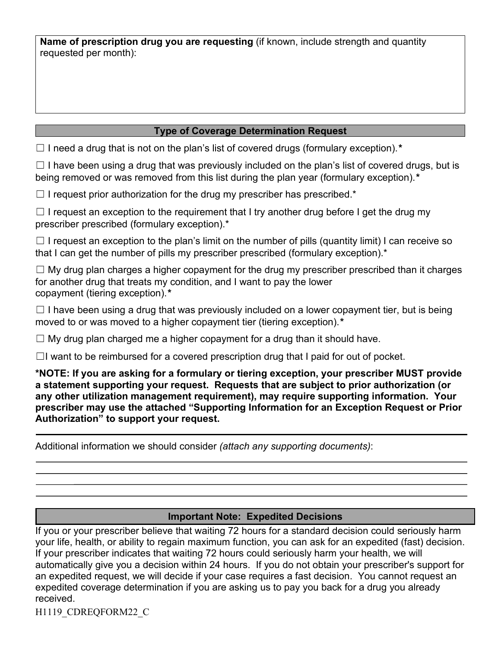**Name of prescription drug you are requesting** (if known, include strength and quantity requested per month):

## **Type of Coverage Determination Request**

☐ I need a drug that is not on the plan's list of covered drugs (formulary exception).*\**

 $\Box$  I have been using a drug that was previously included on the plan's list of covered drugs, but is being removed or was removed from this list during the plan year (formulary exception).*\**

 $\Box$  I request prior authorization for the drug my prescriber has prescribed.\*

 $\Box$  I request an exception to the requirement that I try another drug before I get the drug my prescriber prescribed (formulary exception).\*

 $\Box$  I request an exception to the plan's limit on the number of pills (quantity limit) I can receive so that I can get the number of pills my prescriber prescribed (formulary exception).\*

 $\Box$  My drug plan charges a higher copayment for the drug my prescriber prescribed than it charges for another drug that treats my condition, and I want to pay the lower copayment (tiering exception).*\**

 $\Box$  I have been using a drug that was previously included on a lower copayment tier, but is being moved to or was moved to a higher copayment tier (tiering exception).*\**

 $\Box$  My drug plan charged me a higher copayment for a drug than it should have.

 $\Box$ I want to be reimbursed for a covered prescription drug that I paid for out of pocket.

**\*NOTE: If you are asking for a formulary or tiering exception, your prescriber MUST provide a statement supporting your request. Requests that are subject to prior authorization (or any other utilization management requirement), may require supporting information. Your prescriber may use the attached "Supporting Information for an Exception Request or Prior Authorization" to support your request.**

Additional information we should consider *(attach any supporting documents)*:

## **Important Note: Expedited Decisions**

If you or your prescriber believe that waiting 72 hours for a standard decision could seriously harm your life, health, or ability to regain maximum function, you can ask for an expedited (fast) decision. If your prescriber indicates that waiting 72 hours could seriously harm your health, we will automatically give you a decision within 24 hours. If you do not obtain your prescriber's support for an expedited request, we will decide if your case requires a fast decision. You cannot request an expedited coverage determination if you are asking us to pay you back for a drug you already received.

H1119\_CDREQFORM22\_C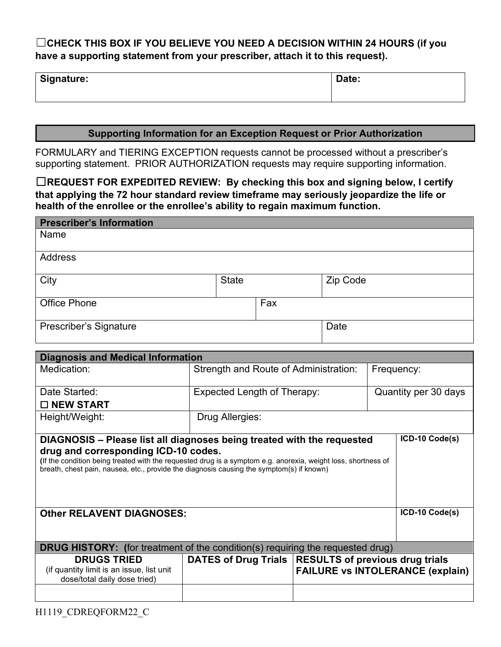# ☐**CHECK THIS BOX IF YOU BELIEVE YOU NEED A DECISION WITHIN 24 HOURS (if you have a supporting statement from your prescriber, attach it to this request).**

| Signature: | Date: |
|------------|-------|
|------------|-------|

### **Supporting Information for an Exception Request or Prior Authorization**

FORMULARY and TIERING EXCEPTION requests cannot be processed without a prescriber's supporting statement. PRIOR AUTHORIZATION requests may require supporting information.

☐**REQUEST FOR EXPEDITED REVIEW: By checking this box and signing below, I certify that applying the 72 hour standard review timeframe may seriously jeopardize the life or health of the enrollee or the enrollee's ability to regain maximum function.**

| <b>Prescriber's Information</b> |              |     |          |
|---------------------------------|--------------|-----|----------|
| Name                            |              |     |          |
| Address                         |              |     |          |
| City                            | <b>State</b> |     | Zip Code |
| <b>Office Phone</b>             |              | Fax |          |
| Prescriber's Signature          |              |     | Date     |

| <b>Diagnosis and Medical Information</b>                                                                                                                                                                                                                                                                                    |                                       |                                                     |                                                                                   |  |
|-----------------------------------------------------------------------------------------------------------------------------------------------------------------------------------------------------------------------------------------------------------------------------------------------------------------------------|---------------------------------------|-----------------------------------------------------|-----------------------------------------------------------------------------------|--|
| Medication:                                                                                                                                                                                                                                                                                                                 | Strength and Route of Administration: |                                                     | Frequency:                                                                        |  |
| Date Started:                                                                                                                                                                                                                                                                                                               |                                       | Expected Length of Therapy:<br>Quantity per 30 days |                                                                                   |  |
| $\Box$ NEW START                                                                                                                                                                                                                                                                                                            |                                       |                                                     |                                                                                   |  |
| Height/Weight:                                                                                                                                                                                                                                                                                                              | Drug Allergies:                       |                                                     |                                                                                   |  |
| DIAGNOSIS – Please list all diagnoses being treated with the requested<br>drug and corresponding ICD-10 codes.<br>(If the condition being treated with the requested drug is a symptom e.g. anorexia, weight loss, shortness of<br>breath, chest pain, nausea, etc., provide the diagnosis causing the symptom(s) if known) |                                       |                                                     | ICD-10 Code(s)                                                                    |  |
| <b>Other RELAVENT DIAGNOSES:</b>                                                                                                                                                                                                                                                                                            |                                       |                                                     | ICD-10 Code(s)                                                                    |  |
| <b>DRUG HISTORY:</b> (for treatment of the condition(s) requiring the requested drug)                                                                                                                                                                                                                                       |                                       |                                                     |                                                                                   |  |
| <b>DRUGS TRIED</b><br>(if quantity limit is an issue, list unit<br>dose/total daily dose tried)                                                                                                                                                                                                                             | <b>DATES of Drug Trials</b>           |                                                     | <b>RESULTS of previous drug trials</b><br><b>FAILURE vs INTOLERANCE (explain)</b> |  |
|                                                                                                                                                                                                                                                                                                                             |                                       |                                                     |                                                                                   |  |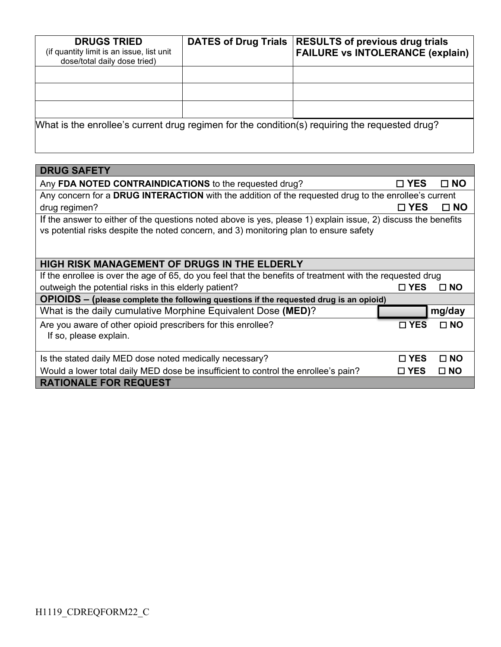| <b>DRUGS TRIED</b><br>(if quantity limit is an issue, list unit<br>dose/total daily dose tried) | <b>DATES of Drug Trials</b> | <b>RESULTS of previous drug trials</b><br><b>FAILURE vs INTOLERANCE (explain)</b>              |
|-------------------------------------------------------------------------------------------------|-----------------------------|------------------------------------------------------------------------------------------------|
|                                                                                                 |                             |                                                                                                |
|                                                                                                 |                             |                                                                                                |
|                                                                                                 |                             |                                                                                                |
|                                                                                                 |                             | What is the enrollee's current drug regimen for the condition(s) requiring the requested drug? |

| <b>DRUG SAFETY</b>                                                                                                                                                                                     |               |              |  |
|--------------------------------------------------------------------------------------------------------------------------------------------------------------------------------------------------------|---------------|--------------|--|
| Any FDA NOTED CONTRAINDICATIONS to the requested drug?                                                                                                                                                 | $\square$ YES | $\square$ NO |  |
| Any concern for a DRUG INTERACTION with the addition of the requested drug to the enrollee's current                                                                                                   |               |              |  |
| drug regimen?                                                                                                                                                                                          | □ YES         | $\square$ NO |  |
| If the answer to either of the questions noted above is yes, please 1) explain issue, 2) discuss the benefits<br>vs potential risks despite the noted concern, and 3) monitoring plan to ensure safety |               |              |  |
| <b>HIGH RISK MANAGEMENT OF DRUGS IN THE ELDERLY</b>                                                                                                                                                    |               |              |  |
| If the enrollee is over the age of 65, do you feel that the benefits of treatment with the requested drug                                                                                              |               |              |  |
| outweigh the potential risks in this elderly patient?                                                                                                                                                  | $\square$ YES | $\Box$ NO    |  |
| OPIOIDS - (please complete the following questions if the requested drug is an opioid)                                                                                                                 |               |              |  |
| What is the daily cumulative Morphine Equivalent Dose (MED)?                                                                                                                                           |               | mg/day       |  |
| Are you aware of other opioid prescribers for this enrollee?<br>If so, please explain.                                                                                                                 | $\sqcap$ YES  | $\Box$ NO    |  |
| Is the stated daily MED dose noted medically necessary?                                                                                                                                                | $\sqcap$ YES  | $\Box$ NO    |  |
| Would a lower total daily MED dose be insufficient to control the enrollee's pain?                                                                                                                     | $\square$ YES | $\square$ NO |  |
| <b>RATIONALE FOR REQUEST</b>                                                                                                                                                                           |               |              |  |